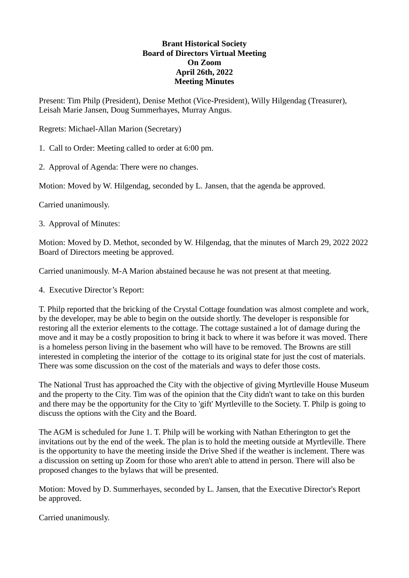## **Brant Historical Society Board of Directors Virtual Meeting On Zoom April 26th, 2022 Meeting Minutes**

Present: Tim Philp (President), Denise Methot (Vice-President), Willy Hilgendag (Treasurer), Leisah Marie Jansen, Doug Summerhayes, Murray Angus.

Regrets: Michael-Allan Marion (Secretary)

1. Call to Order: Meeting called to order at 6:00 pm.

2. Approval of Agenda: There were no changes.

Motion: Moved by W. Hilgendag, seconded by L. Jansen, that the agenda be approved.

Carried unanimously.

3. Approval of Minutes:

Motion: Moved by D. Methot, seconded by W. Hilgendag, that the minutes of March 29, 2022 2022 Board of Directors meeting be approved.

Carried unanimously. M-A Marion abstained because he was not present at that meeting.

4. Executive Director's Report:

T. Philp reported that the bricking of the Crystal Cottage foundation was almost complete and work, by the developer, may be able to begin on the outside shortly. The developer is responsible for restoring all the exterior elements to the cottage. The cottage sustained a lot of damage during the move and it may be a costly proposition to bring it back to where it was before it was moved. There is a homeless person living in the basement who will have to be removed. The Browns are still interested in completing the interior of the cottage to its original state for just the cost of materials. There was some discussion on the cost of the materials and ways to defer those costs.

The National Trust has approached the City with the objective of giving Myrtleville House Museum and the property to the City. Tim was of the opinion that the City didn't want to take on this burden and there may be the opportunity for the City to 'gift' Myrtleville to the Society. T. Philp is going to discuss the options with the City and the Board.

The AGM is scheduled for June 1. T. Philp will be working with Nathan Etherington to get the invitations out by the end of the week. The plan is to hold the meeting outside at Myrtleville. There is the opportunity to have the meeting inside the Drive Shed if the weather is inclement. There was a discussion on setting up Zoom for those who aren't able to attend in person. There will also be proposed changes to the bylaws that will be presented.

Motion: Moved by D. Summerhayes, seconded by L. Jansen, that the Executive Director's Report be approved.

Carried unanimously.